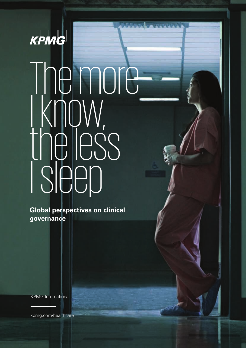

# The more I I IU I I I<br>| KNOW, the less I sleep

**Global perspectives on clinical governance**

KPMG International

[kpmg.com/healthcare](http://www.kpmg.com/healthcare)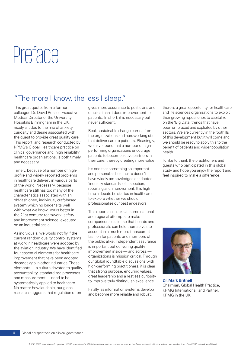# Preface

### "The more I know, the less I sleep."

This great quote, from a former colleague Dr. David Rosser, Executive Medical Director of the University Hospitals Birmingham in the UK, nicely alludes to the mix of anxiety, curiosity and desire associated with the quest to provide great quality care. This report, and research conducted by KPMG's Global Healthcare practice on clinical governance and 'high reliability' healthcare organizations, is both timely and necessary.

Timely, because of a number of highprofile and widely reported problems in healthcare delivery in various parts of the world. Necessary, because healthcare still has too many of the characteristics associated with an old-fashioned, individual, craft-based system which no longer sits well with what we know works better in the 21st century: teamwork, safety and improvement science, executed on an industrial scale.

As individuals, we would not fly if the current random quality control systems at work in healthcare were adopted by the aviation industry. We have identified four essential elements for healthcare improvement that have been adopted decades ago in other industries. These elements — a culture devoted to quality, accountability, standardized processes and measurement — need to be systematically applied to healthcare. No matter how laudable, our global research suggests that regulation often

gives more assurance to politicians and officials than it does improvement for patients. In short, it is necessary but never sufficient.

Real, sustainable change comes from the organizations and hardworking staff that deliver care to patients. Pleasingly, we have found that a number of highperforming organizations encourage patients to become active partners in their care, thereby creating more value.

It's odd that something so important and personal as healthcare doesn't have widely acknowledged or adopted 'industry standards' of inspection, reporting and improvement. It is high time a debate be started in healthcare to explore whether we should professionalize our best endeavors.

This report also looks at some national and regional attempts to make comparisons easier so that boards and professionals can hold themselves to account in a much more transparent fashion for patients and members of the public alike. Independent assurance is important but delivering quality improvement inside — and across organizations is mission critical. Through our global roundtable discussions with high-performing practitioners, it is clear that strong purpose, enduring values, great leadership and a restless curiosity to improve truly distinguish excellence.

Finally, as information systems develop and become more reliable and robust,

there is a great opportunity for healthcare and life sciences organizations to exploit their growing repositories to capitalize on the 'Big Data' trends that have been embraced and exploited by other sectors. We are currently in the foothills of this development but it will come and we should be ready to apply this to the benefit of patients and wider population health.

I'd like to thank the practitioners and guests who participated in this global study and hope you enjoy the report and feel inspired to make a difference.



**Dr. Mark Britnell** Chairman, Global Health Practice, KPMG International, and Partner, KPMG in the UK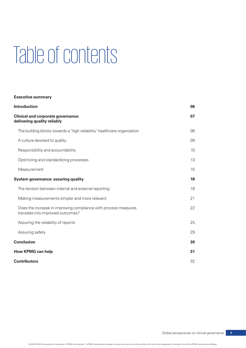# Table of contents

#### **Executive summary**

| <b>Introduction</b>                                                                                  | 06 |
|------------------------------------------------------------------------------------------------------|----|
| <b>Clinical and corporate governance:</b><br>delivering quality reliably                             | 07 |
| The building blocks towards a 'high reliability' healthcare organization                             | 08 |
| A culture devoted to quality                                                                         | 09 |
| Responsibility and accountability                                                                    | 10 |
| Optimizing and standardizing processes                                                               | 13 |
| Measurement                                                                                          | 15 |
| System governance: assuring quality                                                                  | 18 |
| The tension between internal and external reporting                                                  | 18 |
| Making measurements simpler and more relevant                                                        | 21 |
| Does the increase in improving compliance with process measures<br>translate into improved outcomes? | 22 |
| Assuring the reliability of reports                                                                  | 25 |
| Assuring safety                                                                                      | 29 |
| <b>Conclusion</b>                                                                                    | 30 |
| <b>How KPMG can help</b>                                                                             | 31 |
| <b>Contributors</b>                                                                                  | 32 |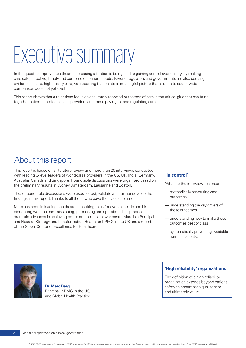# Executive summary

In the quest to improve healthcare, increasing attention is being paid to gaining control over quality, by making care safe, effective, timely and centered on patient needs. Payers, regulators and governments are also seeking evidence of safe, high-quality care, yet reporting that paints a meaningful picture that is open to sector-wide comparison does not yet exist.

This report shows that a relentless focus on accurately reported outcomes of care is the critical glue that can bring together patients, professionals, providers and those paying for and regulating care.

## About this report

This report is based on a literature review and more than 20 interviews conducted with leading C-level leaders of world-class providers in the US, UK, India, Germany, Australia, Canada and Singapore. Roundtable discussions were organized based on the preliminary results in Sydney, Amsterdam, Lausanne and Boston.

These roundtable discussions were used to test, validate and further develop the findings in this report. Thanks to all those who gave their valuable time.

Marc has been in leading healthcare consulting roles for over a decade and his pioneering work on commissioning, purchasing and operations has produced dramatic advances in achieving better outcomes at lower costs. Marc is a Principal and Head of Strategy and Transformation Health for KPMG in the US and a member of the Global Center of Excellence for Healthcare.

#### **'In control'**

What do the interviewees mean:

- methodically measuring care outcomes
- understanding the key drivers of these outcomes
- understanding how to make these outcomes best of class
- systematically preventing avoidable harm to patients.



**Dr. Marc Berg** Principal, KPMG in the US, and Global Health Practice

#### **'High reliability' organizations**

The definition of a high reliability organization extends beyond patient safety to encompass quality care and ultimately value.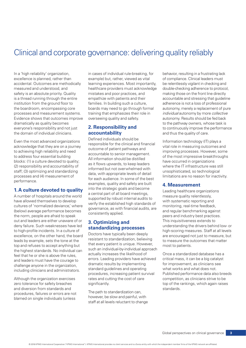## Clinical and corporate governance: delivering quality reliably

In a 'high reliability' organization, in cases of individual rule-breaking, for behavior, resulting in a frustrating lack excellence is planned, rather than example) but, rather, viewed as vital of compliance. Clinical leaders must accidental. Outcomes are methodically learning experiences. Most importantly, be relentlessly vigilant in checking and measured and understood, and healthcare providers must acknowledge double-checking adherence to protocol, safety is an absolute priority. Quality mistakes and poor practices, and making those on the front line directly is a thread running through the entire empathize with patients and their accountable and stressing that guideline institution from the ground floor to families. In building such a culture, and adherence is not a loss of professional the boardroom, encompassing core boards may need to go through formal autonomy, merely a replacement of pure processes and measurement systems. training that emphasizes their role in *individual* autonomy by more *collective* Evidence shows that outcomes improve overseeing quality and safety. **Automomy.** Results should be fed back dramatically as quality becomes<br>
everyone's responsibility and not just<br> **2. Responsibility and** to continuously improve the performar<br>
to continuously improve the performar the domain of individual clinicians. **accountability** and thus the quality of care.

and diversion from standards and<br>
Frequency of extension of the path to standardization can,<br>
The path to standardization can,

Even the most advanced organizations<br>acknowledge that they are on a journey<br>to achieving high reliability and need<br>to achieving high reliability and need<br>to achieving high reliability and need<br>accountable to secountable of **1. A culture devoted to quality** into the strategic goals and become<br>
A number of hospitals around the world<br>
have allowed themselves to develop<br>
cultures of 'normalized deviance,' where<br>
(below) average performance becom

to and refuses to accept anything but<br>that every patient is unique. However, the highest standards. No individual can<br>feel that he or she is above the rules, actually increases the likelihood of that he or she is above the Although the organization exercises rates and cutting the cost of care competition, as clinicians strive to be zero tolerance for safety breaches significantly. The state of the rankings, which again raises

procedures, failures or errors are not<br>blamed on single individuals (unless however, be slow and painful, with staff at all levels reluctant to change

everyone's responsibility and not just **2. Responsibility and** to continuously improve the performance

out and leaders are either unaware of or **3. Optimizing and** This inquisitiveness extends to<br>
deny failure. Such weaknesses have led<br>
or a tand and **a standarding and** and a standarding the drivers behind low- or deny failure. Such weaknesses have led<br>to high-profile incidents. In a culture of<br>excellence, on the other hand, the board<br>leads by example, sets the tone at the the sets into tandardization, believing<br>leads by example, se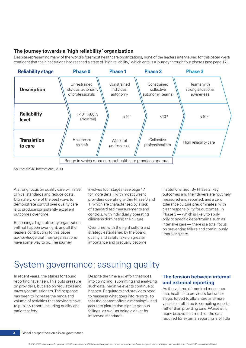#### **The journey towards a 'high reliability' organization**

Despite representing many of the world's foremost healthcare organizations, none of the leaders interviewed for this paper were confident that their institutions had reached a state of 'high reliability,' which entails a journey through four phases (see page 17).



Source: KPMG International, 2013

A strong focus on quality care will raise clinical standards and reduce costs. Ultimately, one of the best ways to demonstrate control over quality care is to produce consistently excellent outcomes over time.

Becoming a high reliability organization will not happen overnight, and all the leaders contributing to this paper acknowledge that their organizations have some way to go. The journey

involves four stages (see page 17 for more detail) with most current providers operating within Phase 0 and 1, which are characterized by a lack of standardized measurements and controls, with individually operating clinicians dominating the culture.

Over time, with the right culture and strategy established by the board, quality and safety take on greater importance and gradually become

institutionalized. By Phase 2, key outcomes and their drivers are routinely measured and reported, and a zero tolerance culture predominates, with clear responsibility for outcomes. In Phase 3 — which is likely to apply only to specific departments such as intensive care — there is a total focus on preventing failure and continuously improving care.

## System governance: assuring quality

In recent years, the stakes for sound reporting have risen. This puts pressure on providers, but also on regulators and payers/commissioners. The response has been to increase the range and volume of activities that providers have to publicly report, including quality and patient safety.

Despite the time and effort that goes into compiling, submitting and analyzing such data, negative events continue to happen. Regulators and providers need to reassess what goes into reports, so that the content offers a meaningful and accurate picture that signals serious failings, as well as being a driver for improved standards.

#### **The tension between internal and external reporting**

As the volume of required measures rise, healthcare providers feel under siege, forced to allot more and more valuable staff time to compiling reports, rather than providing care. Worse still, many believe that much of the data required for external reporting is of little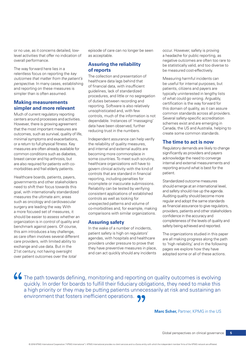or no use, as it concerns detailed, lowlevel activities that offer no indication of overall performance.

The way forward here lies in a relentless focus on reporting the *key outcomes that matter from the patient's perspective*. In many cases, establishing and reporting on these measures is simpler than is often assumed.

#### **Making measurements simpler and more relevant**

Much of current regulatory reporting centers around processes and activities. However, there is growing agreement that the most important measures are outcomes, such as survival, quality of life, minimal symptoms and exacerbations, or a return to full physical fitness. Key measures are often already available for common conditions such as diabetes, breast cancer and hip arthrosis, but are also required for patients with comorbidities and frail elderly patients.

Healthcare boards, patients, payers, governments and other stakeholders need to shift their focus towards this goal, with internationally standardized measures the ultimate aim; areas such as oncology and cardiovascular surgery are leading the way. With a more focused set of measures, it should be easier to assess whether an organization is in control of quality and benchmark against peers. Of course, this aim introduces a key challenge, as care often involves several different care providers, with limited ability to exchange and use data. But in the 21st century, not having oversight over patient outcomes over the *total*

episode of care can no longer be seen as acceptable.

#### **Assuring the reliability of reports**

The collection and presentation of healthcare data lags behind that of financial data, with insufficient guidelines, lack of standardized procedures, and little or no segregation of duties between recording and reporting. Software is also relatively unsophisticated and, with few controls, much of the information is not dependable. Instances of 'massaging' data have been observed, further reducing trust in the numbers.

Independent assurance can help verify the reliability of quality measures, and internal and external audits are becoming more commonplace in some countries. To meet such scrutiny, healthcare organizations will have to govern clinical activity with the kind of controls that are standard in financial reporting, including penalties for incomplete or inaccurate submissions. Reliability can be tested by verifying consistent applications of established controls as well as looking for unexpected patterns and volume of co-morbidities and, for example, making comparisons with similar organizations.

#### **Assuring safety**

In the wake of a number of incidents, patient safety is high on regulators' agendas, with hospitals and healthcare providers under pressure to prove that they have preventive measures in place, and can act quickly should any incidents

occur. However, safety is proving a headache for public reporting, as negative outcomes are often too rare to be statistically valid, and too diverse to be measured cost-effectively.

Measuring harmful incidents can be useful for internal purposes, but patients, citizens and payers are typically uninterested in lengthy lists of what could go wrong. Arguably, certification is the way forward for this domain of quality, as it can assure common standards across all providers. Several safety-specific accreditation schemes exist and are emerging in Canada, the US and Australia, helping to create some common standards.

#### **The time to act is now**

Regulatory demands are likely to change significantly as providers and payers acknowledge the need to converge internal and external measurements and reporting around what is best for the patient.

Standardized outcome measures should emerge at an international level, and safety should rise up the agenda. Auditing quality should become more regular and adopt the same standards as financial assurance to give regulators, providers, patients and other stakeholders confidence in the accuracy and completeness of the levels of quality and safety being achieved and reported.

The organizations studied in this paper are all making progress along the path to 'high reliability,' and in the following pages we explore how they have adopted some or all of these actions.

66 The path towards defining, monitoring and reporting on quality outcomes is evolving quickly. In order for boards to fulfill their fiduciary obligations, they need to make this a high priority or they may be putting patients unnecessarily at risk and sustaining an environment that fosters inefficient operations.  $\bullet \bullet$ 

**Marc Scher, Partner, KPMG in the US**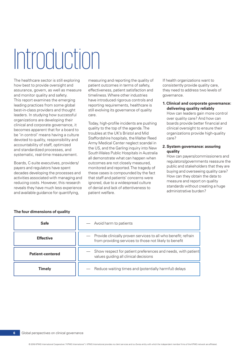# Introduction

how best to provide oversight and patient outcomes in terms of safety, consistently provide quality care, assurance, govern, as well as measure effectiveness, patient satisfaction and they need to address two levels of and monitor quality and safety. The stimeliness. Where other industries governance. This report examines the emerging have introduced rigorous controls and<br>
leading practices from some global reporting requirements, healthcare is **1. Clinical and corporate governance:**<br>
best-in-class providers and thought

The healthcare sector is still exploring measuring and reporting the quality of If health organizations want to

organizations are developing their<br>
clinical and coporate governance, it boxing the comes apparent that for a board to<br>
electromation of the agenda. The<br>
becomes apparent that for a board to<br>
troubles at the UK's Bristol a

| <b>Safe</b>             | Avoid harm to patients                                                                                                   |
|-------------------------|--------------------------------------------------------------------------------------------------------------------------|
| <b>Effective</b>        | Provide clinically proven services to all who benefit; refrain<br>from providing services to those not likely to benefit |
| <b>Patient-centered</b> | Show respect for patient preferences and needs, with patient<br>values guiding all clinical decisions                    |
| Timely                  | Reduce waiting times and (potentially harmful) delays                                                                    |

#### **four dimensions of quality The**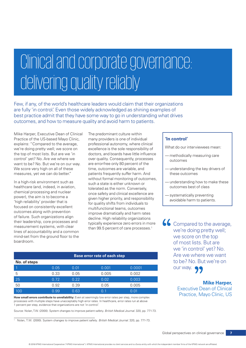# Clinical and corporate governance: delivering quality reliably

Few, if any, of the world's healthcare leaders would claim that their organizations are fully 'in control.' Even those widely acknowledged as shining examples of best practice admit that they have some way to go in understanding what drives outcomes, and how to measure quality and avoid harm to patients.

Mike Harper, Executive Dean of Clinical Practice of the US-based Mayo Clinic, explains: "Compared to the average, we're doing pretty well; we score on the top of most lists. But are we 'in control' yet? No. Are we where we want to be? No. But we're on our way. We score very high on all of these measures, yet we can do better."

In a high-risk environment such as healthcare (and, indeed, in aviation, chemical processing and nuclear power), the aim is to become a 'high reliability' provider that is focused on consistently excellent outcomes along with prevention of failure. Such organizations align their leadership, core processes and measurement systems, with clear lines of accountability and a common mind-set from the ground floor to the boardroom.

The predominant culture within many providers is one of individual professional autonomy, where clinical excellence is the sole responsibility of doctors, and boards have little influence over quality. Consequently, processes are error-free only 80 percent of the time, outcomes are variable, and patients frequently suffer harm. And without formal monitoring of outcomes, such a state is either unknown or tolerated as the norm. Conversely, once safety and clinical excellence are given higher priority, and responsibility for quality shifts from individuals to multifunctional teams, outcomes improve dramatically and harm rates decline. High reliability organizations typically experience zero errors in more than 99.5 percent of care processes.<sup>1</sup>

### **Base error rate of each step No. of steps**

|     | 0.05 | 0.01 | 0.001 | 0.0001 |
|-----|------|------|-------|--------|
| 5   | 0.33 | 0.05 | 0.005 | 0.002  |
| 25  | 0.72 | 0.22 | 0.02  | 0.003  |
| 50  | 0.92 | 0.39 | 0.05  | 0.005  |
| 100 | 0.99 | 0.63 | 0.1   | 0.01   |

**How small errors contribute to unreliability:** Even at seemingly low error rates per step, more complex processes with multiple steps have unacceptably high error rates. In healthcare, error rates run at above 1 percent per step, evidence that organizations are not 'in control.'

Source: Nolan, T.W. (2000). System changes to improve patient safety. *British Medical Journal*. 320, pp. 771-73.

1 Nolan, T.W. (2000). System changes to improve patient safety. *British Medical Journal*. 320, pp. 771-73.

#### **'In control'**

What do our interviewees mean:

- methodically measuring care outcomes
- understanding the key drivers of these outcomes
- understanding how to make these outcomes best of class
- systematically preventing avoidable harm to patients.

66 Compared to the average, we're doing pretty well; we score on the top of most lists. But are we 'in control' yet? No. Are we where we want to be? No. But we're on our way. 99

#### **Mike Harper,**

Executive Dean of Clinical Practice, Mayo Clinic, US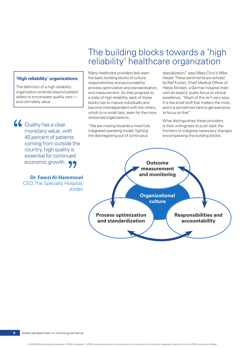#### **'High reliability' organizations**

The definition of a high reliability organization extends beyond patient safety to encompass quality care and ultimately value.

66 Quality has a clear monetary value, with 40 percent of patients coming from outside the country, high quality is essential for continued economic growth.  $\bigcirc$ 

> **Dr. Fawzi Al-Hammouri** CEO, The Specialty Hospital, Jordan

## The building blocks towards a 'high reliability' healthcare organization

Many healthcare providers lack even the basic building blocks of culture, responsibilities and accountability, process optimization and standardization, and measurement. As they progress to a state of high reliability, each of these blocks has to mature individually and become interdependent with the others, which is no small task, even for the more renowned organizations.

"We are moving towards a more fully integrated operating model, fighting the disintegrating pull of continuous

specialization," says Mayo Clinic's Mike Harper. These sentiments are echoed by Ralf Kuhlen, Chief Medical Officer of Helios Kliniken, a German hospital chain with an explicit, public focus on clinical excellence. "Much of this isn't very sexy. It is the small stuff that matters the most, and it is sometimes hard to get everyone to focus on that."

What distinguishes these providers is their willingness to push back the frontiers to integrate necessary changes encompassing the building blocks.

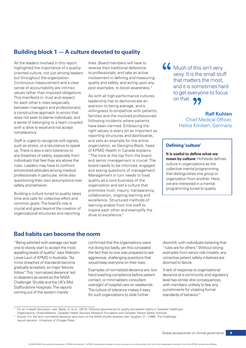### **Building block 1 — A culture devoted to quality**

All the leaders involved in this report highlighted the importance of a qualityoriented culture, not just among leaders but throughout the organization. Continuous measurement and a clear sense of accountability are intrinsic values rather than imposed obligations. This manifests in: trust and respect for each other's roles (especially between managers and professionals); a constructive approach to errors that does not seek to blame individuals; and a sense of belonging to a team coupled with a drive to excel and not accept complacency.

Staff is urged to recognize soft signals. such as stress, or a reluctance to speak up. There is also a zero tolerance to any breaches of safety, especially from individuals that feel they are above the rules. Leaders may have to confront entrenched attitudes among medical professionals in particular, while also questioning their own assumptions over safety and behavior.

Building a culture tuned to quality takes time and calls for collective effort and common goals. The board's role is crucial and goes beyond the creation of organizational structures and reporting

lines. Board members will have to reverse their traditional deference to professionals, and take an active involvement in defining and measuring quality and safety, and acting upon any poor examples, to boost awareness.2

As with all high-performance cultures. leadership has to demonstrate an aversion to being average, and a willingness to empathize with patients, families and the involved professionals following incidents where patients have been harmed. Embracing the right values is every bit as important as reporting structures and dashboards, and sets an example for the entire organization, as Georgina Black, head of KPMG Health in Canada explains: "The tone at the top from the board and senior management is crucial. The board needs to be informed, engaged and asking questions of management. Management in turn needs to treat quality as a core business of the organization and set a culture that promotes trust, inquiry, transparency, collaboration, ongoing learning and excellence. Structured methods of learning enable front line staff to inspire each other and exemplify the drive to excellence."

66 Much of this isn't very sexy. It is the small stuff that matters the most, and it is sometimes hard to get everyone to focus on that. 99

> **Ralf Kuhlen** Chief Medical Officer, Helios Kliniken, Germany

#### **Defining 'culture'**

**It is useful to define what we mean by culture:** Hofstede defines culture in organizations as the collective mental programming that distinguishes one group or organization from another. Here, we are interested in a mental programming tuned to quality.

#### **Bad habits can become the norm**

"Being satisfied with average can lead one to slowly start to accept the most appalling levels of quality," says Malcolm Lowe-Lauri of KPMG in Australia. "As minor breaches of standards become gradually accepted, so major failures follow." This 'normalized deviance' led to disasters as varied as the NASA Challenger Shuttle and the UK's Mid Staffordshire Hospitals. The reports coming out of the system merely

confirmed that the organizations were not doing too badly, yet this concealed the fact that no one was prepared to ask aggressive, challenging questions that would keep everyone on their toes.

Examples of normalized deviance are: low hand washing compliance before patient contact, or minimal/zero consultant oversight of hospital care on weekends. The culture of tolerance makes it easy for such organizations to slide further

downhill, with individuals believing that "rules are for others." Without strong examples from senior role models, any corrective patient safety initiatives are doomed to failure.

A lack of response to organizational deviance at a community and regulatory level has similar dire consequences, with members unlikely to fear any punishments for violating formal standards of behavior.<sup>3</sup>

<sup>2</sup> For an in-depth discussion, see: Baker, G. et al., (2010). Effective governance for quality and patient safety in Canadian healthcare

Organizations, Ontario/Alberta. *Canadian Health Services Research Foundation and Canadian Patient Safety Institute.* Source: For the term normalized deviance (and story on the NASA shuttle disaster) see: Vaughan, D., (1996). The Challenger

launch decision. *University of Chicago Press*.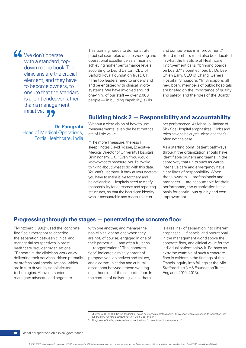We don't operate with a standard, topdown recipe book. Top clinicians are the crucial element, and they have to become owners, to ensure that the standard is a joint endeavor rather than a management initiative. 99

> **Dr. Panigrahi** Head of Medical Operations, Fortis Healthcare, India

This training needs to demonstrate practical examples of safe working and operational excellence as a means of achieving higher performance levels, according to David Dalton, CEO of Salford Royal Foundation Trust, UK: "The top leaders need to understand and be engaged with clinical microsystems. We have involved around one-third of our staff — over 2,000 people — in building capability, skills

and competence in improvement." Board members must also be educated in what the Institute of Healthcare Improvement calls: "bringing boards on board,"5 a point echoed by Dr. Lee Chien Earn, CEO of Changi General Hospital, Singapore: "In Singapore, all new board members of public hospitals are briefed on the importance of quality and safety, and the roles of the Board."

### **Building block 2 — Responsibility and accountability**

Without a clear vision of how to use measurements, even the best metrics are of little value.

 "The more I measure, the less I sleep" notes David Rosser, Executive Medical Director of University Hospitals Birmingham, UK. "Even if you would know what to measure, you lie awake thinking about what to do with this data. You can't just throw it back at your doctors; you have to make it live for them and be actionable." Hospitals need to clarify responsibility for outcomes and reporting structures, so that the board can identify who is accountable and measure his or

her performance. As Mary Jo Haddad of SickKids Hospital emphasizes: "Jobs and roles have to be crystal clear, and that's often not the case."

As a starting point, patient pathways through the organization should have identifiable owners and teams, in the same way that units such as wards, intensive care and emergency have clear lines of responsibility. When these owners — professionals and managers — are accountable for their performance, the organization has a basis for continuous quality and cost improvement.

#### **Progressing through the stages — penetrating the concrete floor**

"Mintzberg (1998)<sup>4</sup> used the 'concrete floor' as a metaphor to describe the separation between clinical and managerial perspectives in most healthcare provider organizations. "Beneath it, the clinicians work away delivering their services, driven primarily by professional specializations, which are in turn driven by sophisticated technologies. Above it, senior managers advocate and negotiate

with one another, and manage the non-clinical operations when they are not, of course, engaged in one of their perpetual — and often fruitless — reorganizations." The 'concrete floor' indicates a misalignment of perspectives, objectives and values, and a communication and cultural disconnect between those working on either side of the concrete floor. In the context of delivering value, there

is a real risk of separation into different emphases — financial and operational in the management world above the concrete floor, and clinical value for the individual patient below it. Perhaps an extreme example of such a concrete floor is evident in the findings of the Francis inquiry into failings at the Mid Staffordshire NHS Foundation Trust in England (2010, 2013).

© 2016 KPMG International Cooperative ("KPMG International"). KPMG International provides no client services and is a Swiss entity with which the independent member firms of the KPMG network are affiliated.

<sup>4</sup> Mintzberg, H., (1998). Covert leadership: notes on managing professionals. Knowledge workers respond to inspiration, not supervision. *Harvard Business Review*. 76 (6), pp. 140-147.

<sup>&</sup>lt;sup>5</sup> The power of having the board on board. Institute for Healthcare Improvement; 2011.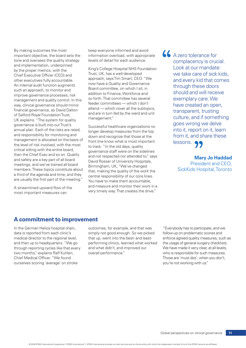By making outcomes the most important objective, the board sets the tone and oversees the quality strategy and implementation, underpinned by the proper metrics, with the Chief Executive Officer (CEO) and other executives fully accountable. An internal audit function augments such an approach, to monitor and improve governance processes, risk management and quality control. In this way, clinical governance should mirror financial governance, as David Dalton of Salford Royal Foundation Trust, UK explains: "The system for quality governance is built into our Trust's annual plan. Each of the risks are rated, and responsibility for monitoring and management is allocated on the basis of the level of risk involved, with the most critical sitting with the entire board, then the Chief Exec and so on. Quality and safety are a key part of all board meetings, and we've trained all board members. These topics constitute about a third of the agenda and time, and they are usually the first part of the meeting."

A streamlined upward flow of the most important measures can

keep everyone informed and avoid information overload, with appropriate levels of detail for each audience.

King's College Hospital NHS Foundation Trust, UK, has a well-developed approach, says Tim Smart, CEO: "We now have a Quality and Governance Board committee, on which I sit, in addition to Finance, Workforce and so forth. That committee has several feeder committees — which I don't attend — which cover all the subtopics, and are in turn fed by the ward and unit management."

Successful healthcare organizations no longer develop measures from the top down and recognize that those at the front line know what is most important to track. "In the old days, quality governance staff were on the sidelines and not respected nor attended to," says David Rosser of University Hospitals, Birmingham, UK, "We've changed that, making the quality of the work the central responsibility of our core lines. You have to make them accountable, and measure and monitor their work in a very timely way. That creates the drive."

66 A zero tolerance for complacency is crucial. Look at our mandate: we take care of sick kids, and every kid that comes through these doors should and will receive exemplary care. We have created an open, transparent, trusting culture, and if something goes wrong we delve into it, report on it, learn from it, and share these lessons. 99

> **Mary Jo Haddad** President and CEO, SickKids Hospital, Toronto

#### **A commitment to improvement**

In the German Helios hospital chain, data is reported from each clinic's medical director to the regional level, and then up to headquarters. "We go through reporting cycles like that every two months," explains Ralf Kuhlen, Chief Medical Officer. "We found ourselves scoring 'average' on stroke

outcomes, for example, and that was simply not good enough. So we picked that up, went into the best- and leastperforming clinics, learned what worked and what didn't, and improved our overall performance."

"Everybody has to participate, and we follow-up on problematic scores and enforce agreed quality measures, such as the usage of general surgery checklists. We have made it very clear, at all levels, who is responsible for such measures. Those are 'must dos'; when you don't, you're not working with us."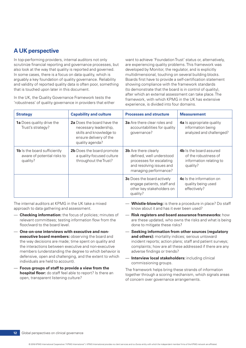### **A UK perspective**

In top-performing providers, internal auditors not only scrutinize financial reporting and governance processes, but also look at the way that quality is reported and governed. In some cases, there is a focus on data quality, which is arguably a key foundation of quality governance. Reliability and validity of reported quality data is often poor, something that is touched upon later in this document.

In the UK, the Quality Governance Framework tests the 'robustness' of quality governance in providers that either

want to achieve 'Foundation Trust' status or, alternatively, are experiencing quality problems. This framework was developed by Monitor, the regulator, and is explicitly multidimensional, touching on several building blocks. Boards first have to provide a self-certification statement showing compliance with the framework standards (to demonstrate that the board is in control of quality), after which an external assessment can take place. The framework, with which KPMG in the UK has extensive experience, is divided into four domains.

| <b>Strategy</b>                                                                | <b>Capability and culture</b>                                                                                               | <b>Processes and structure</b>                                                                                                           | <b>Measurement</b>                                                                            |
|--------------------------------------------------------------------------------|-----------------------------------------------------------------------------------------------------------------------------|------------------------------------------------------------------------------------------------------------------------------------------|-----------------------------------------------------------------------------------------------|
| <b>1a</b> Does quality drive the<br>Trust's strategy?                          | 2a Does the board have the<br>necessary leadership,<br>skills and knowledge to<br>ensure delivery of the<br>quality agenda? | <b>3a</b> Are there clear roles and<br>accountabilities for quality<br>governance?                                                       | 4a Is appropriate quality<br>information being<br>analyzed and challenged?                    |
| <b>1b</b> Is the board sufficiently<br>aware of potential risks to<br>quality? | 2b Does the board promote<br>a quality-focused culture<br>throughout the Trust?                                             | <b>3b</b> Are there clearly<br>defined, well understood<br>processes for escalating<br>and resolving issues and<br>managing performance? | <b>4b</b> Is the board assured<br>of the robustness of<br>information relating to<br>quality? |
|                                                                                |                                                                                                                             | <b>3c</b> Does the board actively<br>engage patients, staff and<br>other key stakeholders on<br>quality?                                 | <b>4c</b> Is the information on<br>quality being used<br>effectively?                         |

The internal auditors at KPMG in the UK take a mixed approach to data gathering and assessment.

- **Checking information:** the focus of policies; minutes of relevant committees; testing information flow from the floor/ward to the board level.
- **One-on-one interviews with executive and nonexecutive board members:** observing the board and the way decisions are made; time spent on quality and the interactions between executive and non-executive members (understanding the degree to which behavior is defensive, open and challenging, and the extent to which individuals are held to account).
- **Focus groups of staff to provide a view from the hospital floor:** do staff feel able to report? Is there an open, transparent listening culture?
- **Whistle-blowing:** is there a procedure in place? Do staff know about it and has it ever been used?
- **Risk registers and board assurance frameworks:** how are these updated, who owns the risks and what is being done to mitigate these risks?
- **Seeking information from other sources (regulatory and others):** mortality indices; serious untoward incident reports; action plans; staff and patient surveys; complaints; how are all these addressed if there are any adverse findings or trends?
- **Interview local stakeholders:** including clinical commissioning groups.

The framework helps bring these strands of information together through a scoring mechanism, which signals areas of concern over governance arrangements.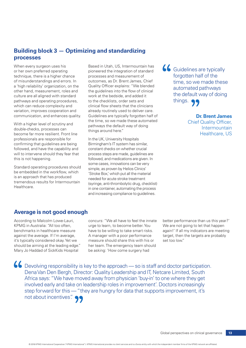### **Building block 3 — Optimizing and standardizing processes**

When every surgeon uses his or her own preferred operating technique, there is a higher chance of misunderstandings and errors. In a 'high reliability' organization, on the other hand, measurement, roles and culture are all aligned with standard pathways and operating procedures, which can reduce complexity and variation, improves cooperation and communication, and enhances quality.

With a higher level of scrutiny and double-checks, processes can become far more resilient. Front line professionals are responsible for confirming that guidelines are being followed, and have the capability and will to intervene should they fear that this is not happening.

Standard operating procedures should be embedded in the workflow, which is an approach that has produced tremendous results for Intermountain Healthcare.

Based in Utah, US, Intermountain has pioneered the integration of standard processes and measurement of outcomes, as Dr. Brent James, Chief Quality Officer explains: "We blended the guidelines into the flow of clinical work at the bedside, and added it to the checklists, order sets and clinical flow sheets that the clinicians already routinely used to deliver care. Guidelines are typically forgotten half of the time, so we made these automated pathways the default way of doing things around here."

In the UK, University Hospitals Birmingham's IT system has similar, constant checks on whether crucial process steps are made, guidelines are followed, and medications are given. In some cases, innovations can be very simple, as proven by Helios Clinics' 'Stroke Box,' which put all the material needed for acute stroke treatment (syringe, anti-thrombolytic drug, checklist) in one container, automating the process and increasing compliance to guidelines.

66 Guidelines are typically forgotten half of the time, so we made these automated pathways the default way of doing things. 99

**Dr. Brent James**

Chief Quality Officer, Intermountain Healthcare, US

### **Average is not good enough**

According to Malcolm Lowe-Lauri, KPMG in Australia: "All too often, benchmarks in healthcare measure against the average. If I'm average, it's typically considered okay. Yet we should be aiming at the leading edge." Mary Jo Haddad of SickKids Hospital

concurs: "We all have to feel the innate urge to learn, to become better. You have to be willing to take smart risks. A manager with a poor performance measure should share this with his or her team. The emergency team should be asking: 'How come surgery had

better performance than us this year?' We are not going to let that happen again!' If all my indicators are meeting target, then the targets are probably set too low."

66 Devolving responsibility is key to the approach — so is staff and doctor participation. Dena Van Den Bergh, Director: Quality Leadership and IT, Netcare Limited, South Africa says: "We have moved away from physician 'buy-in' to one where they get involved early and take on leadership roles in improvement'. Doctors increasingly step forward for this — "they are hungry for data that supports improvement, it's not about incentives".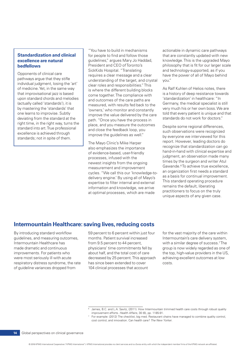#### **Standardization and clinical excellence are natural bedfellows**

Opponents of clinical care pathways argue that they stifle individual judgment, losing the 'art' of medicine. Yet, in the same way that improvisational jazz is based upon standard chords and melodies (actually called 'standards'), it is by mastering the 'standards' that one learns to improvise. Subtly deviating from the standard at the right time, in the right way, turns the standard into art. True professional excellence is achieved through standards; not in spite of them.

"You have to build in mechanisms actionable in dynamic care pathways for people to find and follow those that are constantly updated with new guidelines," argues Mary Jo Haddad, knowledge. This is the upgraded Mayo President and CEO of Toronto's philosophy that is fit for our larger scale SickKids Hospital. "Translating and technology-supported, as if you requires a clear message and a clear have the power of all of Mayo behind understanding of the target, and crystal you." clear roles and responsibilities." This<br>
is where the different building blocks<br>
come together. The compliance with<br>
and outcomes of the care paths are<br>
standardization' in healthcare: "In measured, with results fed back to the Germany, the medical specialist is still 'owners,' who monitor and constantly<br>improve the value delivered by the care<br>path. "Once you have the process in standards do not work for doctors." place, and you measure the outcomes<br>
and close the feedback loop, you<br>
improve the guidelines as well." by everyone we interviewed for this

newest insights from the ongoing<br>
measurement and improvement<br>
To achieve true excellence,<br>
To achieve true excellence,<br>
an organization first needs a standard<br>
an organization first needs a standard

The Mayo Clinic's Mike Harper<br>
also emphasizes the importance<br>
of evidence-based, user-friendly<br>
processes, infused with the<br>
newest insights from the ongoing<br>
measurement and improvement<br>
measurement and improvement<br>
meas cycles. "We call this our 'knowledge-to-<br>delivery engine.' By using all of Mayo's<br>expertise to filter internal and external<br>information and knowledge, we arrive at optimal processes, which are made<br>at optimal processes, wh

### **Intermountain Healthcare: saving lives, reducing costs**

of guideline variances dropped from 104 clinical processes that account

By introducing standard workflow 59 percent to 6 percent within just four for the vast majority of the care within guidelines, and measuring outcomes, months. Patient survival increased Intermountain's care delivery system, Intermountain Healthcare has from 9.5 percent to 44 percent, with a similar degree of success.<sup>7</sup> The made dramatic and continuous physicians' time commitments fell by group is now widely regarded as one of improvements. For patients who about half, and the total cost of care the top, high-value providers in the US, were most seriously ill with acute decreased by 25 percent. This approach achieving excellent outcomes at low respiratory distress syndrome, the rate has since been extended to cover costs.

© 2016 KPMG International Cooperative ("KPMG International"). KPMG International provides no client services and is a Swiss entity with which the independent member firms of the KPMG network are affiliated.

James, B.C. and L.A. Savitz, (2011). How Intermountain trimmed health care costs through robust quality improvement efforts. *Health Affairs*, 30 (6), pp. 1185-91.

For example: (2012) The checklist, big med. Restaurant chains have managed to combine quality control, cost control, and innovation. Can health care? *The New Yorker*.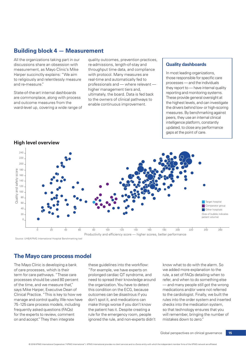### **Building block 4 — Measurement**

All the organizations taking part in our discussions share an obsession with measurement, as Mayo Clinic's Mike Harper succinctly explains: "We aim to religiously and relentlessly measure and re-measure."

State-of-the-art internal dashboards are commonplace, along with process and outcome measures from the ward-level up, covering a wide range of quality outcomes, prevention practices, re-admissions, length-of-stay and throughput time data, and compliance with protocol. Many measures are real-time and automatically fed to professionals and — where relevant higher management tiers and, ultimately, the board. Data is fed back to the owners of clinical pathways to enable continuous improvement.

#### **Quality dashboards**

In most leading organizations, those responsible for specific care processes — and the individuals they report to — have internal quality reporting and monitoring systems. These provide general oversight at the highest levels, and can investigate the drivers behind low- or high-scoring measures. By benchmarking against peers, they use an internal clinical intelligence platform, constantly updated, to close any performance gaps at the point of care.



**High level overview**

Source: UHB/KPMG International Hospital Benchmarking tool

### **The Mayo care process model**

The Mayo Clinic is developing a bank of care processes, which is their term for care pathways. "These care processes should be used 80 percent of the time, and we measure that," says Mike Harper, Executive Dean of Clinical Practice. "This is key to how we manage and control quality. We now have 75 -125 care process models, including frequently asked questions (FAQs) for the experts to review, comment on and accept." They then integrate

these guidelines into the workflow: "For example, we have experts on prolonged cardiac QT syndrome, and need to spread their knowledge around the organization. You have to detect this condition on the ECG, because outcomes can be disastrous if you don't spot it, and medications can make things worse if you don't know the patient has it. Despite creating a rule for the emergency room, people ignored the rule, and non-experts didn't

know what to do with the alarm. So we added more explanation to the rule, a set of FAQs detailing when to refer, and when to do something else — and many people still got the wrong medications and/or were not referred to the cardiologist. Finally, we built the rules into the order system and inserted checks into the medication system, so that technology ensures that you will remember, bringing the number of mistakes down to zero."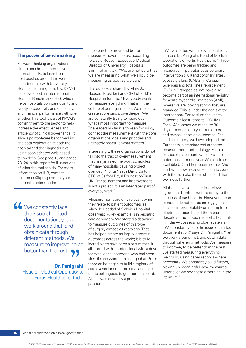#### **The power of benchmarking**

Forward-thinking organizations aim to benchmark themselves internationally, to learn from best practice around the world. In partnership with University Hospitals Birmingham, UK, KPMG has developed an International Hospital Benchmark (IHB), which helps hospitals compare quality and safety, productivity and efficiency, and financial performance with one another. This tool is part of KPMG's commitment to the sector to help increase the effectiveness and efficiency of clinical governance. It allows point-of-care benchmarking and data-exploration at both the hospital and the diagnosis level, using sophisticated web-based technology. See page 15 and pages 23–24 in this report for illustrations of what the tool can do. For more information on IHB, contact healthcare@kpmg.com, or your national practice leader.

66 We constantly face the issue of limited documentation, yet we work around that, and obtain data through different methods. We measure to improve, to be better than the rest. 99

> **Dr. Panigrahi Head of Medical Operations,** Fortis Healthcare, India

The search for new and better "We've started with a few specialties", measures never ceases, according concurs Dr. Panigrahi, Head of Medical to David Rosser, Executive Medical Operations of Fortis Healthcare. "Three Director of University Hospitals outcomes are being tracked and Birmingham, UK. "We are not sure that measured — percutaneous coronary we are measuring what we should be intervention (PCI) and coronary artery measuring as best as we can." bypass grafting (CABG) in Cardiac

create score cards, dive deeper. We hternational Consortium for Health<br>are constantly trying to figure out Outcome Measurement (ICOHM). what's most important to measure.<br>The leadership task is to keep focusing, and a subcomes and your outcomes The leadership task is to keep focusing, day outcomes, one-year outcomes, connect the measurement with the core and revascularization outcomes. For organizational goals and priorities and  $\frac{1}{2}$  cordinal outcomes. For

Interestingly, these organizations do not<br>fall into the trap of over-measurement<br>that has jammed the work schedules<br>of many hospitals, causing project<br>overload. "For us," says David Dalton,<br>CEO of Salford Royal Foundation is not a project: it is an integrated part of  $\frac{1}{2}$  All those involved in our interviews everyday work."

poneers do not let technology gaps<br>Mary le Haddad of Sickkida Heapital such as interoperability or incomplete Mary Jo Haddad of SickKids Hospital such as interoperability or incomplete that is used in the such as interoperability or incomplete charge of the state of the state of the state of the state of the state of the state of observes: "A key example is in pediatric electronic records hold them back,<br>cardiac surgery. We started a database despite some — such as Fortis hospitals<br>to measure outcomes of this type in India — possessing older system passion."

This outlook is shared by Mary Jo<br>
Haddad, President and CEO of SickKids<br>
Hospital in Toronto: "Everybody wants<br>
to measure everything. That is in the<br>
culture of our organization. We measure,<br>
create score cards, dive dee organizational goals and priorities and cardiac surgery, we have adopted the ultimately measure what matters." Euroscore, a standardized outcome

agree that IT infrastructure is key to the Measurements are only relevant when success of dashboards. However, these<br>they relate to patient externes as such pioneers do not let technology gaps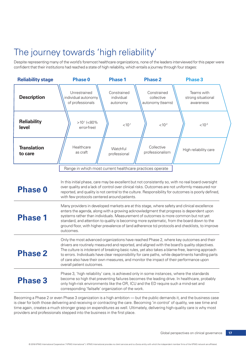# The journey towards 'high reliability'

Despite representing many of the world's foremost healthcare organizations, none of the leaders interviewed for this paper were confident that their institutions had reached a state of high reliability, which entails a journey through four stages:



Becoming a Phase 2 or even Phase 3 organization is a high ambition — but the public demands it, and the business case is clear for both those delivering and receiving or contracting the care. Becoming 'in control' of quality, we see time and time again, creates a much stronger grasp on expenditures as well. Ultimately, delivering high-quality care is why most providers and professionals stepped into the business in the first place.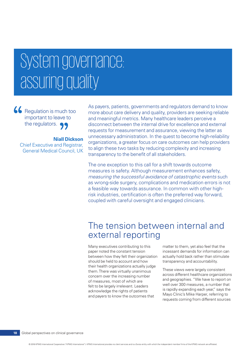# System governance: assuring quality

66 Regulation is much too important to leave to the regulators.

**Niall Dickson** Chief Executive and Registrar, General Medical Council, UK As payers, patients, governments and regulators demand to know more about care delivery and quality, providers are seeking reliable and meaningful metrics. Many healthcare leaders perceive a disconnect between the internal drive for excellence and external requests for measurement and assurance, viewing the latter as unnecessary administration. In the quest to become high-reliability organizations, a greater focus on care outcomes can help providers to align these two tasks by reducing complexity and increasing transparency to the benefit of all stakeholders.

The one exception to this call for a shift towards outcome measures is safety. Although measurement enhances safety, *measuring the successful avoidance of catastrophic events* such as wrong-side surgery, complications and medication errors is not a feasible way towards assurance. In common with other highrisk industries, certification is often the preferred way forward, coupled with careful oversight and engaged clinicians.

## The tension between internal and external reporting

Many executives contributing to this paper noted the constant tension between how they felt their organization should be held to account and how their health organizations actually judge them. There was virtually unanimous concern over the increasing number of measures, most of which are felt to be largely irrelevant. Leaders acknowledge the rights of patients and payers to know the outcomes that

matter to them, yet also feel that the incessant demands for information can actually hold back rather than stimulate transparency and accountability.

These views were largely consistent across different healthcare organizations and geographies. "We have to report on well over 300 measures, a number that is rapidly expanding each year," says the Mayo Clinic's Mike Harper, referring to requests coming from different sources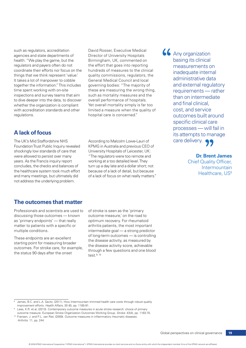such as regulators, accreditation agencies and state departments of health. "We play the game, but the regulators and payers often do not coordinate their efforts nor focus on the things that we think represent 'value.' It takes a lot of manpower to cobble together the information." This includes time spent working with on-site inspections and survey teams that aim to dive deeper into the data, to discover whether the organization is compliant with accreditation standards and other regulations.

### **A lack of focus**

The UK's Mid Staffordshire NHS Foundation Trust Public Inquiry revealed shockingly low standards of care that were allowed to persist over many years. As the Francis inquiry report concludes, the checks and balances of the healthcare system took much effort and many meetings, but ultimately did not address the underlying problem.

David Rosser, Executive Medical Director of University Hospitals Birmingham, UK, commented on the effort that goes into reporting hundreds of measures to the clinical quality commissions, regulators, the General Medical Council and local governing bodies: "The majority of these are measuring the wrong thing, such as mortality measures and the overall performance of hospitals. Yet overall mortality simply is far too limited a measure when the quality of hospital care is concerned."

According to Malcolm Lowe-Lauri of KPMG in Australia and previous CEO of University Hospitals of Leicester, UK: "The regulators were too remote and working at a too detailed level. They turn up a day late and a dollar short; not because of a lack of detail, but because of a lack of focus on what really matters." 66 Any organization basing its clinical measurements on inadequate internal administrative data and external regulatory requirements — rather than on intermediate and final clinical, cost, and service outcomes built around specific clinical care processes — will fail in its attempts to manage care delivery. 99

> **Dr. Brent James** Chief Quality Officer, **Intermountain** Healthcare, US<sup>8</sup>

### **The outcomes that matter**

Professionals and scientists are used to discussing those outcomes — known as 'primary endpoints' — that really matter to patients with a specific or multiple conditions.

These endpoints are an excellent starting point for measuring broader outcomes. For stroke care, for example, the status 90 days after the onset

of stroke is seen as the 'primary outcome measure,' on the road to optimum recovery. For rheumatoid arthritis patients, the most important intermediate goal — a strong predictor of long-term outcomes — is controlling the disease activity, as measured by the disease activity score, achievable through a few questions and one blood test.9, 10

<sup>&</sup>lt;sup>8</sup> James, B.C. and L.A. Savitz, (2011). How Intermountain trimmed health care costs through robust quality improvement efforts. *Health Affairs*, 30 (6), pp. 1185-91.

<sup>&</sup>lt;sup>9</sup> Lees, K.R. et al, (2013). Contemporary outcome measures in acute stroke research: choice of primary outcome measure. European Stroke Organization Outcomes Working Group. *Stroke*. 43(4), pp. 1163-70.

<sup>&</sup>lt;sup>10</sup> Fransen, J. and P.L. van Riel, (2009). Outcome measures in inflammatory rheumatic diseases. *Arthritis*. 11, pp. 244.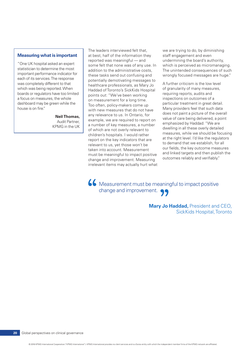#### **Measuring what is important**

"One UK hospital asked an expert statistician to determine the most important performance indicator for each of its services. The response was completely different to that which was being reported. When boards or regulators have too limited a focus on measures, the whole dashboard may be green while the house is on fire."

> **Neil Thomas,**  Audit Partner, KPMG in the UK

The leaders interviewed felt that, we are trying to do, by diminishing at best, half of the information they staff engagement and even reported was meaningful — and undermining the board's authority, some felt that none was of any use. In which is perceived as micromanaging. these tasks send out confusing and wrongly focused messages are huge." potentially demotivating messages to<br>
healthcare professionals, as Mary Jo<br>
Haddad of Toronto's SickKids Hospital<br>
points out: "We've been working<br>
on measurement for a long time.<br>
Too often, policy-makers come up<br>
with ne must be meaningful to impact positive and linked targets and then publish the<br>must be meaningful to impact positive outcomes reliably and verifiably." change and improvement. Measuring irrelevant items may actually hurt what

addition to the administrative costs, The unintended consequences of such

any relevance to us. In Ontario, for<br>example, we are required to report on<br>a number of key measures, a number<br>of which are not overly relevant to<br>children's hospitals. I would rather<br>report on the key indicators that are<br>r

66 Measurement must be meaningful to impact positive change and improvement.

> **Mary Jo Haddad,** President and CEO, SickKids Hospital, Toronto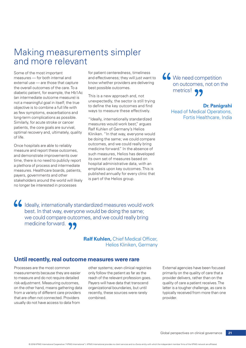## Making measurements simpler and more relevant

Some of the most important measures — for both internal and external use — are those that capture the overall outcomes of the care. To a diabetic patient, for example, the Hb1Ac (an intermediate outcome measure) is not a meaningful goal in itself; the true objective is to combine a full life with as few symptoms, exacerbations and long-term complications as possible. Similarly, for acute stroke or cancer patients, the core goals are survival, optimal recovery and, ultimately, quality of life.

Once hospitals are able to reliably measure and report these outcomes, and demonstrate improvements over time, there is no need to publicly report a plethora of process and intermediate measures. Healthcare boards, patients, payers, governments and other stakeholders around the world will likely no longer be interested in processes

for patient centeredness, timeliness and effectiveness; they will just want to know whether providers are delivering best possible outcomes.

This is a new approach and, not unexpectedly, the sector is still trying to define the key outcomes and find ways to measure these effectively.

"Ideally, internationally standardized measures would work best," argues Ralf Kuhlen of Germany's Helios Kliniken. "In that way, everyone would be doing the same; we could compare outcomes, and we could really bring medicine forward." In the absence of such measures, Helios has developed its own set of measures based on hospital administrative data, with an emphasis upon key outcomes. This is published annually for every clinic that is part of the Helios group.

**66** We need competition on outcomes, not on the metrics!  $\bullet \bullet$ 

> **Dr. Panigrahi** Head of Medical Operations, Fortis Healthcare, India

 Ideally, internationally standardized measures would work best. In that way, everyone would be doing the same; we could compare outcomes, and we could really bring medicine forward. 99

> **Ralf Kuhlen,** Chief Medical Officer, Helios Kliniken, Germany

#### **Until recently, real outcome measures were rare**

Processes are the most common measurements because they are easier to measure and do not require detailed risk-adjustment. Measuring outcomes, on the other hand, means gathering data from a variety of different care providers that are often not connected. Providers usually do not have access to data from

other systems; even clinical registries only follow the patient as far as the reach of the relevant profession goes. Payers will have data that transcend organizational boundaries, but until recently, these sources were rarely combined.

External agencies have been focused primarily on the quality of care that a provider delivers, rather than on the quality of care a patient receives. The latter is a tougher challenge, as care is typically received from more than one provider.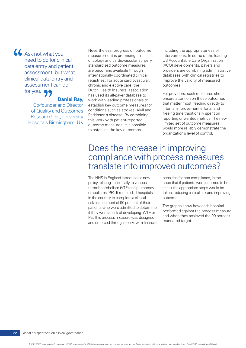66 Ask not what you need to do for clinical data entry and patient assessment, but what clinical data entry and assessment can do for you. 99

### **Daniel Rav.**

**Co-founder and Director** of Quality and Outcomes **Research Unit, University** Hospitals Birmingham, UK Nevertheless, progress on outcome including the appropriateness of measurement is promising. In interventions. In some of the leading oncology and cardiovascular surgery, US Accountable Care Organization standardized outcome measures (ACO) developments, payers and internationally coordinated clinical databases with clinical registries to registries. For acute cardiovascular, improve the validity of measured chronic and elective care, the outcomes. Dutch Health Insurers' association

are becoming available through providers are combining administrative

has used its all-payer database to<br>
work with leading professionals to<br>
establish key outcome measures for<br>
conditions such as strokes, AMI and<br>
Parkinson's disease. By combining<br>
this work with patient-reported<br>
outcome m

### Does the increase in improving compliance with process measures translate into improved outcomes?

The NHS in England introduced a new penalties for non-compliance, in the policy relating specifically to venous hope that if patients were deemed to be thromboembolism (VTE) and pulmonary at risk the appropriate steps would be embolisms (PE). It required all hospitals taken, reducing clinical risk and improving in the country to complete a clinical outcome. risk assessment of 90 percent of their<br>patients who were admitted to determine The graphs show how each hospital<br>if they were at risk of developing a VTE or<br>PE. This process measure was designed and when they achieved the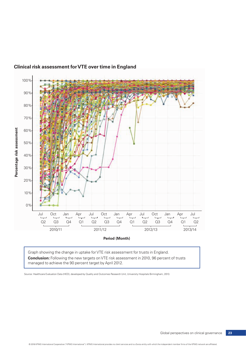

#### **Clinical risk assessment for VTE over time in England**

Graph showing the change in uptake for VTE risk assessment for trusts in England. **Conclusion:** Following the new targets on VTE risk assessment in 2010, 96 percent of trusts managed to achieve the 90 percent target by April 2012.

Source: Healthcare Evaluation Data (HED), developed by Quality and Outcomes Research Unit, University Hospitals Birmingham, 2013.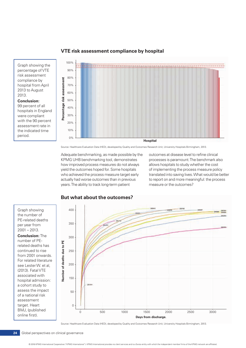

#### **VTE risk assessment compliance by hospital**

Graph showing the percentage of VTE risk assessment compliance by hospital from April 2013 to August 2013.

**Conclusion:**  99 percent of all hospitals in England were compliant with the 90 percent assessment rate in the indicated time period.

Source: Healthcare Evaluation Data (HED), developed by Quality and Outcomes Research Unit, University Hospitals Birmingham, 2013.

Adequate benchmarking, as made possible by the KPMG UHB benchmarking tool, demonstrates how improved process measures do not always yield the outcomes hoped for. Some hospitals who achieved the process measure target early actually had worse outcomes than in previous years. The ability to track long-term patient

outcomes at disease level to refine clinical processes is paramount. The benchmark also allows hospitals to study whether the cost of implementing the process measure policy translated into saving lives. What would be better to report on and more meaningful: the process measure or the outcomes?



target. Heart BMJ, (published online first).



#### **But what about the outcomes?**

Source: Healthcare Evaluation Data (HED), developed by Quality and Outcomes Research Unit, University Hospitals Birmingham, 2013.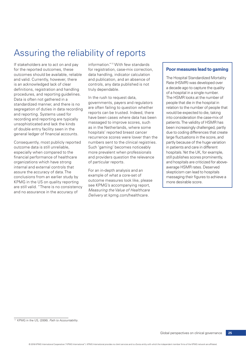# Assuring the reliability of reports

If stakeholders are to act on and pay information."<sup>11</sup> With few standards for the reported outcomes, these for registration, case-mix correction, outcomes should be available, reliable data handling, indicator calculation and valid. Currently, however, there and publication, and an absence of is an acknowledged lack of clear controls, any data published is not definitions, registration and handling truly dependable.

outcome data is still unreliable, Such 'gaming' becomes noticeably especially when compared to the more prevalent when professionals financial performance of healthcare and providers question the relevance organizations which have strong of particular reports. internal and external controls that

procedures, and reporting guidelines.<br>
Data is often not gathered in a<br>
standardized manner, and there is no<br>
segregation of duties in data recording<br>
and reporting. Systems used for<br>
reports can be trusted. Indeed, there<br> Consequently, most publicly reported numbers sent to the clinical registries.

assure the accuracy of data. The For an in-depth analysis and an<br>conclusions from an earlier study by<br>KPMG in the US on quality reporting outcome measures look like, please<br>are still valid. "There is no consistency see KPM

#### **Poor measures lead to gaming**

The Hospital Standardized Mortality Rate (HSMR) was developed over a decade ago to capture the quality of a hospital in a single number. The HSMR looks at the number of people that die in the hospital in relation to the number of people that would be expected to die, taking into consideration the case-mix of patients. The validity of HSMR has been increasingly challenged, partly due to coding differences that create large fluctuations in the score, and partly because of the huge variation in patients and care in different hospitals. Yet the UK, for example, still publishes scores prominently, and hospitals are criticized for aboveaverage HSMR rates. Deserved skepticism can lead to hospitals massaging their figures to achieve a more desirable score.

 <sup>11</sup> KPMG in the US, (2006). *Path to Accountability*.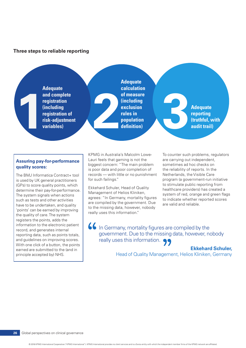#### **Three steps to reliable reporting**

and complete<br>registration<br>(including<br>registration of<br>risk-adjustment<br>variables) **Adequate and complete registration (including registration of risk-adjustment variables)**

**Adequate calculation of measure (including exclusion rules in population definition) 3 Adequate** 

**reporting (truthful, with audit trail)** 

#### **Assuring pay-for-performance quality scores:**

The BMJ Informatica Contract+ tool is used by UK general practitioners (GPs) to score quality points, which determine their pay-for-performance. The system signals when actions such as tests and other activities have to be undertaken, and quality 'points' can be earned by improving the quality of care. The system registers the points, adds the information to the electronic patient record, and generates internal reporting data, such as points totals, and guidelines on improving scores. With one click of a button, the points earned are submitted to the (and in principle accepted by) NHS.

KPMG in Australia's Malcolm Lowe-Lauri feels that gaming is not the biggest concern: "The main problem is poor data and poor completion of records — with little or no punishment for such failings."

Ekkehard Schuler, Head of Quality Management of Helios Kliniken, agrees: "In Germany, mortality figures are compiled by the government. Due to the missing data, however, nobody really uses this information."

To counter such problems, regulators are carrying out independent, sometimes ad hoc checks on the reliability of reports. In the Netherlands, the Visible Care program (a government-run initiative to stimulate public reporting from healthcare providers) has created a system of red, orange and green flags to indicate whether reported scores are valid and reliable.

 In Germany, mortality figures are compiled by the government. Due to the missing data, however, nobody really uses this information.  $\bullet \bullet$ 

**Ekkehard Schuler,**

Head of Quality Management, Helios Kliniken, Germany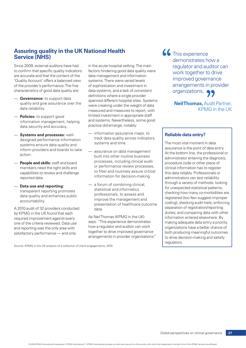### **Assuring quality in the UK National Health Service (NHS)**

Since 2009, external auditors have had in the acute hospital setting. The main to confirm that specific quality indicators factors hindering good data quality were are accurate and that the content of the data management and information 'Quality Account' offers a balanced view systems. There were varied levels of the provider's performance. The five of sophistication and investment in characteristics of good data quality are: data systems, and a lack of consistent

- 
- information management, helping and systems. Nevertheless, s<br>data security and accuracy practice did emerge, notably: data security and accuracy. - Policies: to support good
- designed performance information track data quality asystems ensure data quality and systems and time inform providers and boards to take — assurance on data management action. built into other routine business
- capabilities to review and challenge information for decision-making<br>information for decision-making

A 2010 audit of 32 providers conducted data.<br>by KPMG in the UK found that each by KPMG in the UK found that each As Neil Thomas (KPMG in the UK)<br>
one of the criteria reviewed. Data use says: "This experience demonstrates<br>
and reporting was the only area with how a regulator and auditor can work

- **Governance:** to support data definitions where a single provider<br>quality and give assurance over the spanned different hospital sites. Systems<br>data reliability.<br>data reliability. limited investment in appropriate staff<br>and systems. Nevertheless, some good

- **Systems and processes:** well-<br>designed performance information track data quality across indicators,
	- processes, including clinical audit **People and skills:** staff and board members need the right skills and<br>conshiiting to raviaus and obellance to filter and routinely assure critical
- **Data use and reporting:**<br>
transparent reporting promotes<br>
data quality and enhances public<br>
accountability.<br>
accountability.<br>
decountability.<br>
accountability.<br>
decountability.<br>
accountability.<br>
decountability.

and reporting was the only area with and reporting was the only area with together to drive improved governance<br>
satisfactory performance — and only arrangements in provider organizations."

66 This experience demonstrates how a regulator and auditor can work together to drive improved governance arrangements in provider organizations. 99

> **Neil Thomas,** Audit Partner, KPMG in the UK

#### **Reliable data entry?**

The most vital moment in data assurance is the point of data entry. At the bottom line, the professional or administrator entering the diagnosis, procedure code or other piece of clinical information has to register this data reliably. Professionals or administrators can test reliability through a variety of methods: looking for unexpected statistical patterns; checking how many co-morbidities are registered (too few suggest improper coding); checking audit trails; enforcing separation of registration/reporting duties; and comparing data with other information entered elsewhere. By making adequate data entry a priority, organizations have a better chance of both producing meaningful outcomes to drive decision-making and satisfy regulators.

Source: KPMG in the UK analysis of a collection of client engagements, 2010.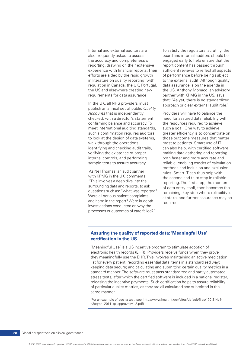also frequently asked to assess board and internal auditors should be the accuracy and completeness of engaged early to help ensure that the reporting, drawing on their extensive report content has passed through experience with financial reports. Their sufficient reviews to reflect all aspects efforts are aided by the rapid growth of performance before being subject in literature on quality reporting, with to the external audit. Although quality regulation in Canada, the UK, Portugal, data assurance is on the agenda in the US and elsewhere creating new the US, Anthony Monaco, an advisory requirements for data assurance. partner with KPMG in the US, says

Accounts that is independently **Providers** will have to balance the checked, with a director's statement need for assured data reliability with confirming balance and accuracy. To the resources required to achieve meet international auditing standards, such a goal. One way to achieve to look at the design of data systems. Those outcome measures that matter walk through the operations, most to patients. Smart use of IT identifying and checking audit trails. can also help, with certified software verifying the existence of proper making data gathering and reporting internal controls, and performing both faster and more accurate and

As NeilThomas, an audit partner<br>
with KPMG in the UK, comments:<br>
"This involves a deep dive into the<br>
surrounding data and reports, to ask<br>
questions such as: "what was reported?<br>
Were all serious patient complaints<br>
and h processes or outcomes of care failed?"

Internal and external auditors are To satisfy the regulators' scrutiny, the that: "As yet, there is no standardized In the UK, all NHS providers must approach or clear external audit role." publish an annual set of public *Quality* 

such a confirmation requires auditors greater efficiency is to concentrate on sample tests to assure accuracy. reliable, enabling checks of calculation methods and inclusion and exclusion

#### **Assuring the quality of reported data: 'Meaningful Use' certification in the US**

'Meaningful Use' is a US incentive program to stimulate adoption of electronic health records (EHR). Providers receive funds when they prove they meaningfully use the EHR. This involves maintaining an active medication list for every patient; recording essential data items in a standardized way; keeping data secure; and calculating and submitting certain quality metrics in a standard manner. The software must pass standardized and partly automated stress tests, after which the certified software is included in a national register, releasing the incentive payments. Such certification helps to assure reliability of particular quality metrics, as they are all calculated and submitted in the same manner.

(For an example of such a test, see: [http://www.healthit.gov/sites/default/files/170.314c1](http://www.healthit.gov/sites/default/files/170.314c1-c3cqms_2014_tp_approvedv1.2.pdf) [c3cqms\\_2014\\_tp\\_approvedv1.2.pdf](http://www.healthit.gov/sites/default/files/170.314c1-c3cqms_2014_tp_approvedv1.2.pdf))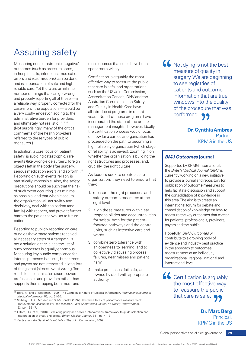# Assuring safety

Measuring non-catastrophic 'negative' outcomes (such as pressure sores, in-hospital falls, infections, medication errors and readmissions) can be done and is a foundation of safe and high reliable care. Yet there are an infinite number of things that can go wrong, and properly reporting all of these — in a reliable way, properly corrected for the case-mix of the population — would be a very costly endeavor, adding to the administrative burden for providers, and ultimately not realistic.<sup>12,13,14</sup> (Not surprisingly, many of the critical comments of the health providers referred to these types of public measures.)

In addition, a core focus of 'patient safety' is avoiding catastrophic, rare events (like wrong-side surgery, foreign objects left in the body after surgery, serious medication errors, and so forth).<sup>15</sup> Reporting on such events reliably is statistically impossible. Also, the safety precautions should be such that the risk of such event occurring is as minimal as possible, and that when it occurs, the organization will act swiftly and decisively, deal with the patient (and family) with respect, and prevent further harm to the patient as well as to future patients.

Resorting to publicly reporting on care bundles (how many patients received all necessary steps of a carepath) is not a solution either, since the list of such processes is equally enormous. Measuring key bundle compliance for internal purposes is crucial, but citizens and payers are not interested in long lists of things that (almost) went wrong. Too much focus on this also disempowers professionals and providers rather than supports them, tapping both moral and

real resources that could have been spent more wisely.

Certification is arguably the most effective way to reassure the public that care is safe, and organizations such as the US Joint Commission, Accreditation Canada, DNV and the Australian Commission on Safety and Quality in Health Care have all introduced programs in recent years. Not all of these programs have incorporated the state-of-the-art risk management insights, however. Ideally, the certification process would focus on how far a particular organization has proceeded on the path to becoming a high reliability organization (which stage of reliability is achieved), zooming in on whether the organization is building the right structures and processes, and, crucially, the right culture.

As leaders seek to create a safe organization, they need to ensure that they:

- 1. measure the right processes and safety-outcome measures at the right level
- 2. align these measures with clear responsibilities and accountabilities for safety, both for the patientfocused pathways and the central units, such as intensive care and wards
- 3. combine zero tolerance with an openness to learning, and to collectively discussing process failures, near misses and patient harm
- 4. make processes 'fail-safe,' and owned by staff with appropriate authority.

<sup>15</sup> *Facts about the Sentinel Event Policy*. The Joint Commission; 2009.

66 Not dying is not the best measure of quality in surgery. We are beginning to see registries of patients and outcome information that are true windows into the quality of the procedure that was performed.  $\bigcirc$ 

#### **Dr. Cynthia Ambres Partner** KPMG in the US

#### *BMJ Outcomes* **journal**

Supported by KPMG International, the *British Medical Journal (BMJ)* is currently working on a new initiative to provide a journal and repository for publication of outcome measures to help facilitate discussion and support the consolidation of knowledge in this area. The aim is to create an international forum for debate and consolidation of knowledge on how to measure the key outcomes that matter for patients, professionals, providers, payers and the public.

Hopefully, *BMJ Outcomes* will contribute to a growing body of evidence and industry best practice in the approach to outcomes measurement at an individual, organizational, regional, national and international level.

**66** Certification is arguably the most effective way to reassure the public that care is safe.  $\bullet \bullet$ 

> **Dr. Marc Berg** Principal, KPMG in the US

<sup>12</sup> Berg, M. and E. Goorman, (1999). The Contextual Nature of Medical Information. *International Journal of Medical Informatics*. 56, pp. 51-60.

<sup>13</sup> Solberg, L.I., G. Mosser and S. McDonald, (1997). The three faces of performance measurement: improvement, accountability, and research. *Joint Commission Journal on Quality Improvement*. 23, pp. 135-47.

<sup>14</sup> Lilford, R.J. et al, (2010). Evaluating policy and service interventions: framework to guide selection and interpretation of study end points. *British Medical Journal*. 341, pp. 4413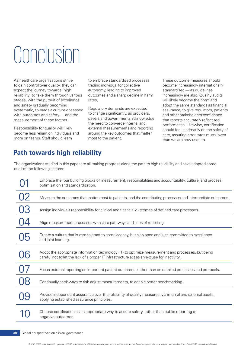# Conclusion

As healthcare organizations strive to embrace standardized processes These outcome measures should to gain control over quality, they can trading individual for collective become increasingly internationally expect the journey towards 'high autonomy, leading to improved standardized — as guidelines reliability' to take them through various outcomes and a sharp decline in harm increasingly are also. Quality audits stages, with the pursuit of excellence rates. will likely become the norm and and safety gradually becoming regards of the same standards as financial<br>systematic, towards a culture obsessed regulatory demands are expected assurance, to give regulators, patients<br>with outcomes and safety — and the roo

measurement of these factors.<br>
The need to converge internal and<br>
Responsibility for quality will likely<br>
become less reliant on individuals and<br>
more on teams. Staff should learn<br>
most to the patient.<br>
The need to converg

### **Path towards high reliability**

The organizations studied in this paper are all making progress along the path to high reliability and have adopted some or all of the following actions:

|    | Embrace the four building blocks of measurement, responsibilities and accountability, culture, and process<br>optimization and standardization.                                                  |
|----|--------------------------------------------------------------------------------------------------------------------------------------------------------------------------------------------------|
| 02 | Measure the outcomes that matter most to patients, and the contributing processes and intermediate outcomes.                                                                                     |
| N. | Assign individuals responsibility for clinical and financial outcomes of defined care processes.                                                                                                 |
|    | Align measurement processes with care pathways and lines of reporting.                                                                                                                           |
| 05 | Create a culture that is zero tolerant to complacency, but also open and just, committed to excellence<br>and joint learning.                                                                    |
|    | Adopt the appropriate information technology (IT) to optimize measurement and processes, but being<br>careful not to let the lack of a proper IT infrastructure act as an excuse for inactivity. |
|    | Focus external reporting on important patient outcomes, rather than on detailed processes and protocols.                                                                                         |
|    | Continually seek ways to risk-adjust measurements, to enable better benchmarking.                                                                                                                |
|    | Provide independent assurance over the reliability of quality measures, via internal and external audits,<br>applying established assurance principles.                                          |
|    | Choose certification as an appropriate way to assure safety, rather than public reporting of<br>negative outcomes.                                                                               |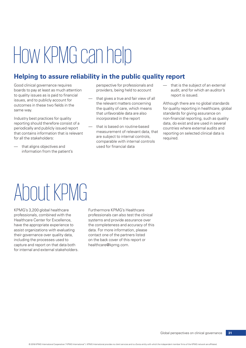# How KPMG can help

### **Helping to assure reliability in the public quality report**

Good clinical governance requires perspective for professionals and — that is the subject of an external boards to pay at least as much attention providers, being held to account audit, and for which an auditor's to quality issues as is paid to financial and that gives a true and fair view of all report is issued.<br>Issues, and to publicly account for and the relevant matters concerning all butcomes in these two fields in the the rel

Industry best practices for quality incorporated in the report non-financial reporting, such as quality reporting should therefore consist of a<br>
periodically and publicly issued report that is based on routine-based<br>
that countries where external audits and<br>
that contains information that is relevant<br>
that contains informati

that aligns objectives and used for financial data information from the patient's

- 
- measurement of relevant data, that that that is relevant that is reporting on selected clinical data is are subject to internal controls, that the stakeholders: reporting on selected clinical data is are subject to interna
- 

outcomes in these two fields in the the the care way.<br>
the quality of care, which means for quality reporting in healthcare, global<br>
that unfavorable data are also standards for giving assurance on

# About KPMG

KPMG's 3.200 global healthcare Furthermore KPMG's Healthcare Healthcare Center for Excellence, systems and provide assurance over assist organizations with evaluating data. For more information, please their governance over quality data, contact one of the partners listed including the processes used to on the back cover of this report or capture and report on that data both healthcare@kpmg.com. for internal and external stakeholders.

professionals, combined with the professionals can also test the clinical have the appropriate experience to the completeness and accuracy of this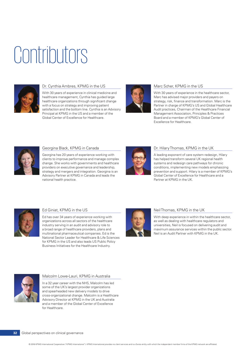# Contributors



#### Dr. Cynthia Ambres, KPMG in the US

With 30 years of experience in clinical medicine and healthcare management, Cynthia has guided large healthcare organizations through significant change with a focus on strategy and improving patient satisfaction and the bottom line. Cynthia is an Advisory Principal at KPMG in the US and a member of the Global Center of Excellence for Healthcare.



#### Marc Scher, KPMG in the US

With 30 years of experience in the healthcare sector, Marc has advised major providers and payers on strategy, risk, finance and transformation. Marc is the Partner in charge of KPMG's US and Global Healthcare Audit practices, Chairman of the Healthcare Financial Management Association, Principles & Practices Board and a member of KPMG's Global Center of Excellence for Healthcare.



#### Georgina Black, KPMG in Canada

Georgina has 20 years of experience working with clients to improve performance and manage complex change. She works with governments and healthcare providers on executive governance and leadership, strategy and mergers and integration. Georgina is an Advisory Partner at KPMG in Canada and leads the national health practice.



#### Dr. Hilary Thomas, KPMG in the UK

A leading exponent of care system redesign, Hilary has helped transform several UK regional health systems and redesign care pathways for chronic conditions, implementing new models emphasizing prevention and support. Hilary is a member of KPMG's Global Center of Excellence for Healthcare and a Partner at KPMG in the UK.



#### Ed Giniat, KPMG in the US

Ed has over 34 years of experience working with organizations across all sectors of the healthcare industry serving in an audit and advisory role to a broad range of healthcare providers, plans and multinational pharmaceutical companies. Ed is the National Sector Leader for Healthcare & Life Sciences for KPMG in the US and also leads US Public Policy Business Initiatives for the Healthcare Industry.



#### Neil Thomas, KPMG in the UK

With deep experience in within the healthcare sector, as well as dealing with healthcare regulators and universities, Neil is focused on delivering audit and maximum assurance services within the public sector. Neil is an Audit Partner with KPMG in the UK.



#### Malcolm Lowe-Lauri, KPMG in Australia

In a 32 year career with the NHS, Malcolm has led some of the UK's largest provider organizations and spearheaded new delivery models to drive cross-organizational change. Malcolm is a Healthcare Advisory Director at KPMG in the UK and Australia and a member of the Global Center of Excellence for Healthcare.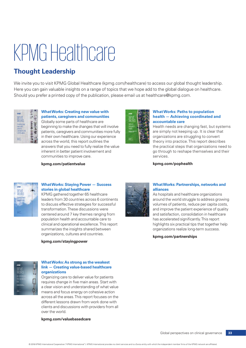# KPMG Healthcare

### **Thought Leadership**

We invite you to visit KPMG Global Healthcare (kpmg.com/healthcare) to access our global thought leadership. Here you can gain valuable insights on a range of topics that we hope add to the global dialogue on healthcare. Should you prefer a printed copy of the publication, please email us at healthcare@kpmg.com.



#### **What Works: Creating new value with patients, caregivers and communities**

Globally some parts of healthcare are beginning to make the changes that will involve patients, caregivers and communities more fully in their own healthcare. Using our experience across the world, this report outlines the answers that you need to fully realize the value inherent in better patient involvement and communities to improve care.

**[kpmg.com/patientvalue](http://www.kpmg.com/patientvalue)**



#### **What Works: Paths to population health — Achieving coordinated and accountable care**

Health needs are changing fast, but systems are simply not keeping up. It is clear that organizations are struggling to convert theory into practice. This report describes the practical steps that organizations need to go through to reshape themselves and their services.

**[kpmg.com/pophealth](http://www.kpmg.com/pophealth)**



#### **What Works: Staying Power — Success stories in global healthcare**

KPMG gathered together 65 healthcare leaders from 30 countries across 6 continents to discuss effective strategies for successful transformation. These discussions were centered around 7 key themes ranging from population health and accountable care to clinical and operational excellence. This report summarizes the insights shared between organizations, cultures and countries.

**[kpmg.com/stayingpower](http://www.kpmg.com/stayingpower)**



#### **What Works: As strong as the weakest link — Creating value-based healthcare organizations**

Organizing care to deliver value for patients requires change in five main areas. Start with a clear vision and understanding of what value means and focus energy on cohesive action across all the areas. This report focuses on the different lessons drawn from work done with clients and discussions with providers from all over the world.

#### **[kpmg.com/valuebasedcare](http://www.kpmg.com/valuebasedcare)**



#### **What Works: Partnerships, networks and alliances**

As hospitals and healthcare organizations around the world struggle to address growing volumes of patients, reduce per capita costs, and improve the patient experience of quality and satisfaction, consolidation in healthcare has accelerated significantly. This report highlights six practical tips that together help organizations realize long-term success.

**[kpmg.com/partnerships](http://www.kpmg.com/partnerships)**